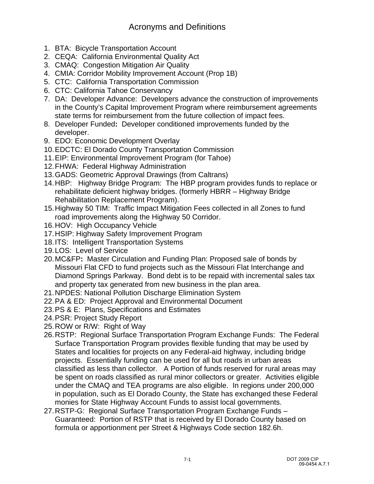- 1. BTA: Bicycle Transportation Account
- 2. CEQA: California Environmental Quality Act
- 3. CMAQ: Congestion Mitigation Air Quality
- 4. CMIA: Corridor Mobility Improvement Account (Prop 1B)
- 5. CTC: California Transportation Commission
- 6. CTC: California Tahoe Conservancy
- 7. DA: Developer Advance: Developers advance the construction of improvements in the County's Capital Improvement Program where reimbursement agreements state terms for reimbursement from the future collection of impact fees.
- 8. Developer Funded**:** Developer conditioned improvements funded by the developer.
- 9. EDO: Economic Development Overlay
- 10. EDCTC: El Dorado County Transportation Commission
- 11. EIP: Environmental Improvement Program (for Tahoe)
- 12. FHWA: Federal Highway Administration
- 13. GADS: Geometric Approval Drawings (from Caltrans)
- 14. HBP: Highway Bridge Program: The HBP program provides funds to replace or rehabilitate deficient highway bridges. (formerly HBRR – Highway Bridge Rehabilitation Replacement Program).
- 15. Highway 50 TIM: Traffic Impact Mitigation Fees collected in all Zones to fund road improvements along the Highway 50 Corridor.
- 16. HOV: High Occupancy Vehicle
- 17. HSIP: Highway Safety Improvement Program
- 18. ITS: Intelligent Transportation Systems
- 19. LOS: Level of Service
- 20. MC&FP**:** Master Circulation and Funding Plan: Proposed sale of bonds by Missouri Flat CFD to fund projects such as the Missouri Flat Interchange and Diamond Springs Parkway. Bond debt is to be repaid with incremental sales tax and property tax generated from new business in the plan area.
- 21. NPDES: National Pollution Discharge Elimination System
- 22. PA & ED: Project Approval and Environmental Document
- 23. PS & E: Plans, Specifications and Estimates
- 24. PSR: Project Study Report
- 25. ROW or R/W: Right of Way
- 26. RSTP: Regional Surface Transportation Program Exchange Funds: The Federal Surface Transportation Program provides flexible funding that may be used by States and localities for projects on any Federal-aid highway, including bridge projects. Essentially funding can be used for all but roads in urban areas classified as less than collector. A Portion of funds reserved for rural areas may be spent on roads classified as rural minor collectors or greater. Activities eligible under the CMAQ and TEA programs are also eligible. In regions under 200,000 in population, such as El Dorado County, the State has exchanged these Federal monies for State Highway Account Funds to assist local governments.
- 27. RSTP-G: Regional Surface Transportation Program Exchange Funds Guaranteed: Portion of RSTP that is received by El Dorado County based on formula or apportionment per Street & Highways Code section 182.6h.